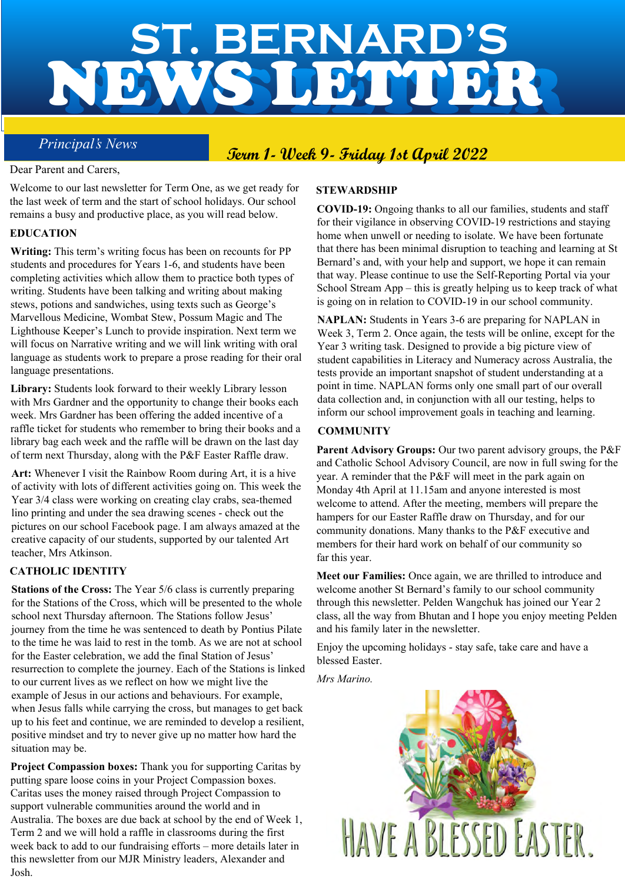# NEWS LETTER **ST. BERNARD'S** NEWS LETTER

# **Principal's News Term 1- Week 9- Friday 1st April 2022**

#### Dear Parent and Carers,

Welcome to our last newsletter for Term One, as we get ready for the last week of term and the start of school holidays. Our school remains a busy and productive place, as you will read below.

#### **EDUCATION**

**Writing:** This term's writing focus has been on recounts for PP students and procedures for Years 1-6, and students have been completing activities which allow them to practice both types of writing. Students have been talking and writing about making stews, potions and sandwiches, using texts such as George's Marvellous Medicine, Wombat Stew, Possum Magic and The Lighthouse Keeper's Lunch to provide inspiration. Next term we will focus on Narrative writing and we will link writing with oral language as students work to prepare a prose reading for their oral language presentations.

**Library:** Students look forward to their weekly Library lesson with Mrs Gardner and the opportunity to change their books each week. Mrs Gardner has been offering the added incentive of a raffle ticket for students who remember to bring their books and a library bag each week and the raffle will be drawn on the last day of term next Thursday, along with the P&F Easter Raffle draw.

**Art:** Whenever I visit the Rainbow Room during Art, it is a hive of activity with lots of different activities going on. This week the Year 3/4 class were working on creating clay crabs, sea-themed lino printing and under the sea drawing scenes - check out the pictures on our school Facebook page. I am always amazed at the creative capacity of our students, supported by our talented Art teacher, Mrs Atkinson.

#### **CATHOLIC IDENTITY**

**Stations of the Cross:** The Year 5/6 class is currently preparing for the Stations of the Cross, which will be presented to the whole school next Thursday afternoon. The Stations follow Jesus' journey from the time he was sentenced to death by Pontius Pilate to the time he was laid to rest in the tomb. As we are not at school for the Easter celebration, we add the final Station of Jesus' resurrection to complete the journey. Each of the Stations is linked to our current lives as we reflect on how we might live the example of Jesus in our actions and behaviours. For example, when Jesus falls while carrying the cross, but manages to get back up to his feet and continue, we are reminded to develop a resilient, positive mindset and try to never give up no matter how hard the situation may be.

**Project Compassion boxes:** Thank you for supporting Caritas by putting spare loose coins in your Project Compassion boxes. Caritas uses the money raised through Project Compassion to support vulnerable communities around the world and in Australia. The boxes are due back at school by the end of Week 1, Term 2 and we will hold a raffle in classrooms during the first week back to add to our fundraising efforts – more details later in this newsletter from our MJR Ministry leaders, Alexander and Josh.

#### **STEWARDSHIP**

**COVID-19:** Ongoing thanks to all our families, students and staff for their vigilance in observing COVID-19 restrictions and staying home when unwell or needing to isolate. We have been fortunate that there has been minimal disruption to teaching and learning at St Bernard's and, with your help and support, we hope it can remain that way. Please continue to use the Self-Reporting Portal via your School Stream App – this is greatly helping us to keep track of what is going on in relation to COVID-19 in our school community.

**NAPLAN:** Students in Years 3-6 are preparing for NAPLAN in Week 3, Term 2. Once again, the tests will be online, except for the Year 3 writing task. Designed to provide a big picture view of student capabilities in Literacy and Numeracy across Australia, the tests provide an important snapshot of student understanding at a point in time. NAPLAN forms only one small part of our overall data collection and, in conjunction with all our testing, helps to inform our school improvement goals in teaching and learning.

#### **COMMUNITY**

**Parent Advisory Groups:** Our two parent advisory groups, the P&F and Catholic School Advisory Council, are now in full swing for the year. A reminder that the P&F will meet in the park again on Monday 4th April at 11.15am and anyone interested is most welcome to attend. After the meeting, members will prepare the hampers for our Easter Raffle draw on Thursday, and for our community donations. Many thanks to the P&F executive and members for their hard work on behalf of our community so far this year.

**Meet our Families:** Once again, we are thrilled to introduce and welcome another St Bernard's family to our school community through this newsletter. Pelden Wangchuk has joined our Year 2 class, all the way from Bhutan and I hope you enjoy meeting Pelden and his family later in the newsletter.

Enjoy the upcoming holidays - stay safe, take care and have a blessed Easter.

*Mrs Marino.*

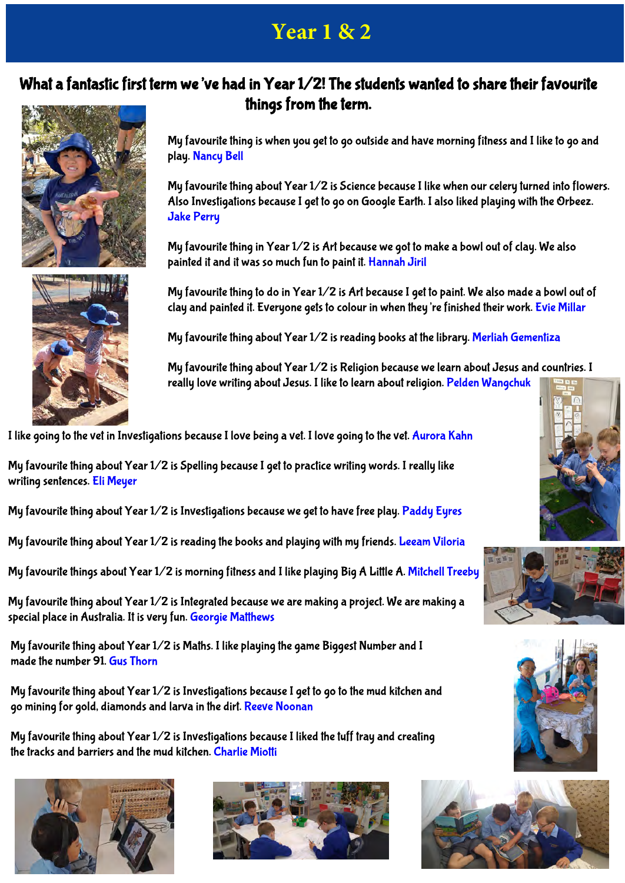# **Year 1 & 2**

#### What a fantastic first term we've had in Year 1/2! The students wanted to share their favourite things from the term.





My favourite thing about Year 1/2 is Science because I like when our celery turned into flowers. Also Investigations because I get to go on Google Earth. I also liked playing with the Orbeez. Jake Perry

My favourite thing in Year 1/2 is Art because we got to make a bowl out of clay. We also painted it and it was so much fun to paint it. Hannah Jiril

My favourite thing to do in Year 1/2 is Art because I get to paint. We also made a bowl out of clay and painted it. Everyone gets to colour in when they're finished their work. Evie Millar

My favourite thing about Year 1/2 is reading books at the library. Merliah Gementiza

My favourite thing about Year 1/2 is Religion because we learn about Jesus and countries. I really love writing about Jesus. I like to learn about religion. Pelden Wangchuk

I like going to the vet in Investigations because I love being a vet. I love going to the vet. Aurora Kahn

My favourite thing about Year 1/2 is Spelling because I get to practice writing words. I really like writing sentences. Eli Meyer

My favourite thing about Year 1/2 is Investigations because we get to have free play. Paddy Eyres

My favourite thing about Year 1/2 is reading the books and playing with my friends. Leeam Viloria

My favourite things about Year 1/2 is morning fitness and I like playing Big A Little A. Mitchell Treeby

My favourite thing about Year 1/2 is Integrated because we are making a project. We are making a special place in Australia. It is very fun. Georgie Matthews

My favourite thing about Year 1/2 is Maths. I like playing the game Biggest Number and I made the number 91. Gus Thorn

My favourite thing about Year 1/2 is Investigations because I get to go to the mud kitchen and go mining for gold, diamonds and larva in the dirt. Reeve Noonan

My favourite thing about Year 1/2 is Investigations because I liked the tuff tray and creating the tracks and barriers and the mud kitchen. Charlie Miotti











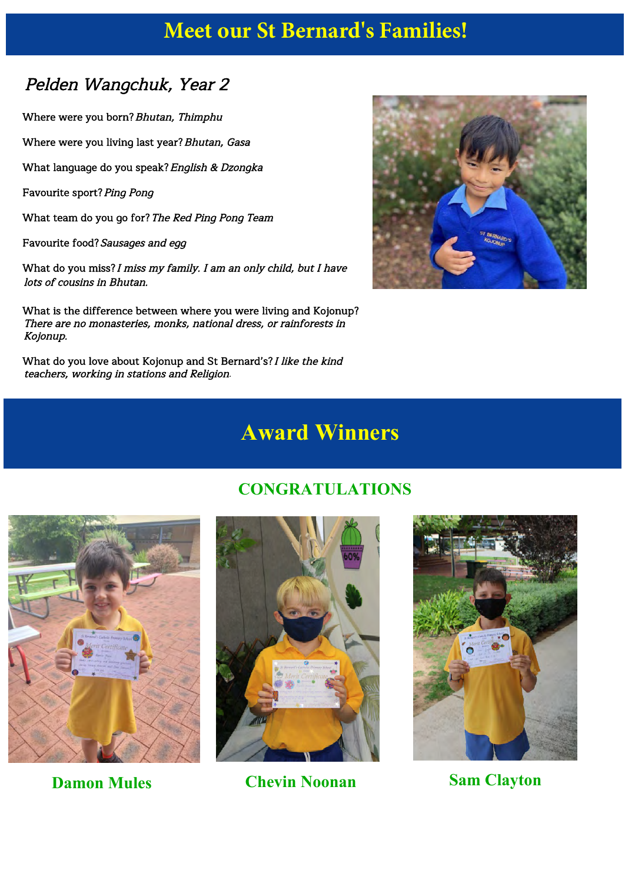# **Meet our St Bernard's Families!**

### Pelden Wangchuk, Year 2

Where were you born? Bhutan, Thimphu

Where were you living last year? Bhutan, Gasa

What language do you speak? English & Dzongka

Favourite sport? Ping Pong

What team do you go for? The Red Ping Pong Team

Favourite food? Sausages and egg

What do you miss? I miss my family. I am an only child, but I have lots of cousins in Bhutan.

What is the difference between where you were living and Kojonup? There are no monasteries, monks, national dress, or rainforests in Kojonup.

What do you love about Kojonup and St Bernard's? I like the kind teachers, working in stations and Religion.



# **Award Winners**





**Damon Mules Chevin Noonan Sam Clayton**



#### **CONGRATULATIONS**